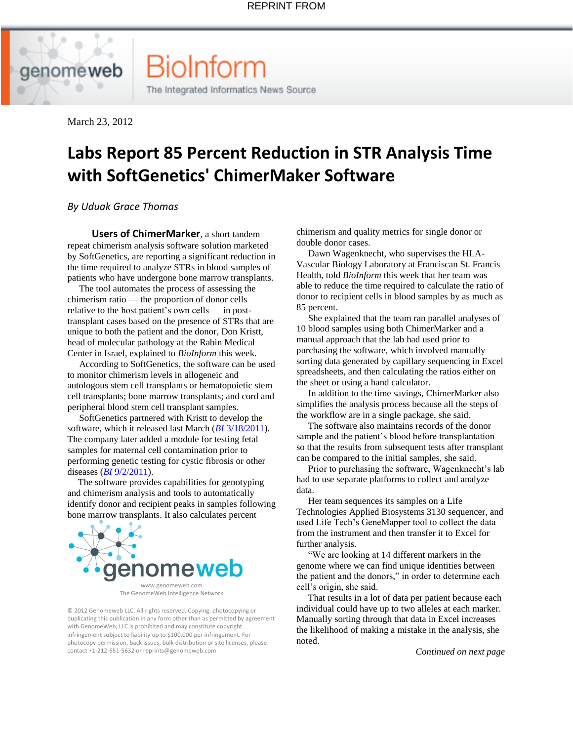BioInform

The Integrated Informatics News Source

March 23, 2012

## **[Labs Report 85 Percent Reduction in STR Analysis Time](http://www.genomeweb.com/informatics/labs-report-85-percent-reduction-str-analysis-time-softgenetics-chimermaker-soft)  [with SoftGenetics' ChimerMaker Software](http://www.genomeweb.com/informatics/labs-report-85-percent-reduction-str-analysis-time-softgenetics-chimermaker-soft)**

*By [Uduak Grace Thomas](mailto:uthomas@genomeweb.com)*

 **Users of ChimerMarker**, a short tandem repeat chimerism analysis software solution marketed by SoftGenetics, are reporting a significant reduction in the time required to analyze STRs in blood samples of patients who have undergone bone marrow transplants.

 The tool automates the process of assessing the chimerism ratio — the proportion of donor cells relative to the host patient's own cells — in posttransplant cases based on the presence of STRs that are unique to both the patient and the donor, Don Kristt, head of molecular pathology at the Rabin Medical Center in Israel, explained to *BioInform* this week.

 According to SoftGenetics, the software can be used to monitor chimerism levels in allogeneic and autologous stem cell transplants or hematopoietic stem cell transplants; bone marrow transplants; and cord and peripheral blood stem cell transplant samples.

 SoftGenetics partnered with Kristt to develop the software, which it released last March (*BI* [3/18/2011\)](http://www.genomeweb.com/informatics/downloads-upgrades-28). The company later added a module for testing fetal samples for maternal cell contamination prior to performing genetic testing for cystic fibrosis or other diseases (*BI* [9/2/2011\)](http://www.genomeweb.com/informatics/downloads-and-upgrades-96).

 The software provides capabilities for genotyping and chimerism analysis and tools to automatically identify donor and recipient peaks in samples following bone marrow transplants. It also calculates percent



The GenomeWeb Intelligence Network

© 2012 Genomeweb LLC. All rights reserved. Copying, photocopying or duplicating this publication in any form other than as permitted by agreement with GenomeWeb, LLC is prohibited and may constitute copyright infringement subject to liability up to \$100,000 per infringement. For photocopy permission, back issues, bulk distribution or site licenses, please contact +1-212-651-5632 or reprints@genomeweb.com

chimerism and quality metrics for single donor or double donor cases.

 Dawn Wagenknecht, who supervises the HLA-Vascular Biology Laboratory at Franciscan St. Francis Health, told *BioInform* this week that her team was able to reduce the time required to calculate the ratio of donor to recipient cells in blood samples by as much as 85 percent.

 She explained that the team ran parallel analyses of 10 blood samples using both ChimerMarker and a manual approach that the lab had used prior to purchasing the software, which involved manually sorting data generated by capillary sequencing in Excel spreadsheets, and then calculating the ratios either on the sheet or using a hand calculator.

 In addition to the time savings, ChimerMarker also simplifies the analysis process because all the steps of the workflow are in a single package, she said.

 The software also maintains records of the donor sample and the patient's blood before transplantation so that the results from subsequent tests after transplant can be compared to the initial samples, she said.

 Prior to purchasing the software, Wagenknecht's lab had to use separate platforms to collect and analyze data.

 Her team sequences its samples on a Life Technologies Applied Biosystems 3130 sequencer, and used Life Tech's GeneMapper tool to collect the data from the instrument and then transfer it to Excel for further analysis.

 "We are looking at 14 different markers in the genome where we can find unique identities between the patient and the donors," in order to determine each cell's origin, she said.

 That results in a lot of data per patient because each individual could have up to two alleles at each marker. Manually sorting through that data in Excel increases the likelihood of making a mistake in the analysis, she noted.

 *Continued on next page*